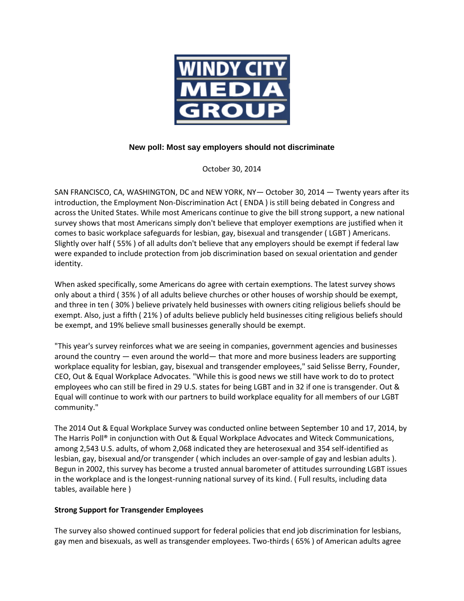

## **New poll: Most say employers should not discriminate**

October 30, 2014

SAN FRANCISCO, CA, WASHINGTON, DC and NEW YORK, NY— October 30, 2014 — Twenty years after its introduction, the Employment Non-Discrimination Act ( ENDA ) is still being debated in Congress and across the United States. While most Americans continue to give the bill strong support, a new national survey shows that most Americans simply don't believe that employer exemptions are justified when it comes to basic workplace safeguards for lesbian, gay, bisexual and transgender ( LGBT ) Americans. Slightly over half ( 55% ) of all adults don't believe that any employers should be exempt if federal law were expanded to include protection from job discrimination based on sexual orientation and gender identity.

When asked specifically, some Americans do agree with certain exemptions. The latest survey shows only about a third ( 35% ) of all adults believe churches or other houses of worship should be exempt, and three in ten ( 30% ) believe privately held businesses with owners citing religious beliefs should be exempt. Also, just a fifth ( 21% ) of adults believe publicly held businesses citing religious beliefs should be exempt, and 19% believe small businesses generally should be exempt.

"This year's survey reinforces what we are seeing in companies, government agencies and businesses around the country — even around the world— that more and more business leaders are supporting workplace equality for lesbian, gay, bisexual and transgender employees," said Selisse Berry, Founder, CEO, Out & Equal Workplace Advocates. "While this is good news we still have work to do to protect employees who can still be fired in 29 U.S. states for being LGBT and in 32 if one is transgender. Out & Equal will continue to work with our partners to build workplace equality for all members of our LGBT community."

The 2014 Out & Equal Workplace Survey was conducted online between September 10 and 17, 2014, by The Harris Poll® in conjunction with Out & Equal Workplace Advocates and Witeck Communications, among 2,543 U.S. adults, of whom 2,068 indicated they are heterosexual and 354 self-identified as lesbian, gay, bisexual and/or transgender ( which includes an over-sample of gay and lesbian adults ). Begun in 2002, this survey has become a trusted annual barometer of attitudes surrounding LGBT issues in the workplace and is the longest-running national survey of its kind. ( Full results, including data tables, available here )

## **Strong Support for Transgender Employees**

The survey also showed continued support for federal policies that end job discrimination for lesbians, gay men and bisexuals, as well as transgender employees. Two-thirds ( 65% ) of American adults agree